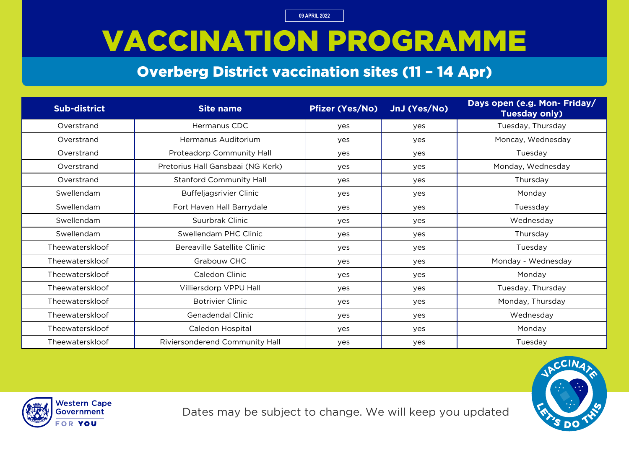### VACCINATION PROGRAMME

#### Overberg District vaccination sites (11 – 14 Apr)

| <b>Sub-district</b> | <b>Site name</b>                  | <b>Pfizer (Yes/No)</b> | JnJ (Yes/No) | Days open (e.g. Mon- Friday/<br><b>Tuesday only)</b> |
|---------------------|-----------------------------------|------------------------|--------------|------------------------------------------------------|
| Overstrand          | Hermanus CDC                      | yes                    | yes          | Tuesday, Thursday                                    |
| Overstrand          | Hermanus Auditorium               | yes                    | yes          | Moncay, Wednesday                                    |
| Overstrand          | Proteadorp Community Hall         | yes                    | yes          | Tuesday                                              |
| Overstrand          | Pretorius Hall Gansbaai (NG Kerk) | yes                    | yes          | Monday, Wednesday                                    |
| Overstrand          | <b>Stanford Community Hall</b>    | yes                    | yes          | Thursday                                             |
| Swellendam          | <b>Buffeljagsrivier Clinic</b>    | yes                    | yes          | Monday                                               |
| Swellendam          | Fort Haven Hall Barrydale         | yes                    | yes          | Tuessday                                             |
| Swellendam          | Suurbrak Clinic                   | yes                    | yes          | Wednesday                                            |
| Swellendam          | Swellendam PHC Clinic             | yes                    | yes          | Thursday                                             |
| Theewaterskloof     | Bereaville Satellite Clinic       | yes                    | yes          | Tuesday                                              |
| Theewaterskloof     | Grabouw CHC                       | yes                    | yes          | Monday - Wednesday                                   |
| Theewaterskloof     | Caledon Clinic                    | yes                    | yes          | Monday                                               |
| Theewaterskloof     | Villiersdorp VPPU Hall            | yes                    | yes          | Tuesday, Thursday                                    |
| Theewaterskloof     | <b>Botrivier Clinic</b>           | yes                    | yes          | Monday, Thursday                                     |
| Theewaterskloof     | Genadendal Clinic                 | yes                    | yes          | Wednesday                                            |
| Theewaterskloof     | Caledon Hospital                  | yes                    | yes          | Monday                                               |
| Theewaterskloof     | Riviersonderend Community Hall    | yes                    | yes          | Tuesday                                              |



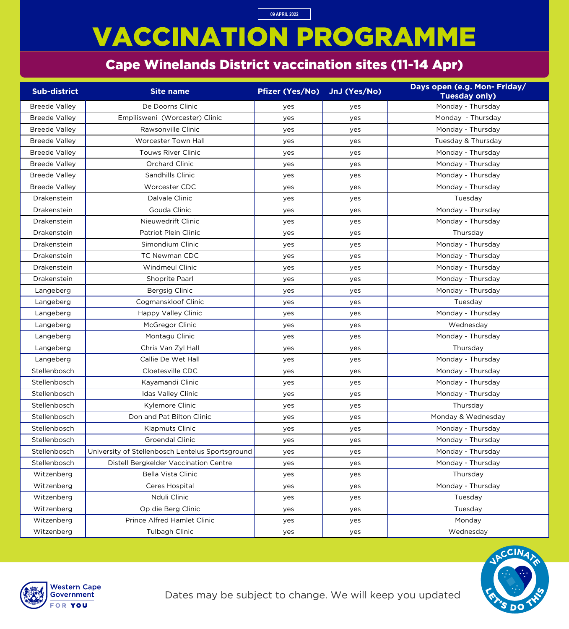Dates may be subject to change. We will keep you updated



# VACCINATION PROGRAMME

#### Cape Winelands District vaccination sites (11-14 Apr)

**09 APRIL 2022**

| <b>Sub-district</b>  | <b>Site name</b>                                 | <b>Pfizer (Yes/No)</b> | JnJ (Yes/No) | Days open (e.g. Mon- Friday/<br><b>Tuesday only)</b> |
|----------------------|--------------------------------------------------|------------------------|--------------|------------------------------------------------------|
| <b>Breede Valley</b> | De Doorns Clinic                                 | yes                    | yes          | Monday - Thursday                                    |
| <b>Breede Valley</b> | Empilisweni (Worcester) Clinic                   | yes                    | yes          | Monday - Thursday                                    |
| <b>Breede Valley</b> | Rawsonville Clinic                               | yes                    | yes          | Monday - Thursday                                    |
| <b>Breede Valley</b> | Worcester Town Hall                              | yes                    | yes          | Tuesday & Thursday                                   |
| <b>Breede Valley</b> | <b>Touws River Clinic</b>                        | yes                    | yes          | Monday - Thursday                                    |
| <b>Breede Valley</b> | <b>Orchard Clinic</b>                            | yes                    | yes          | Monday - Thursday                                    |
| <b>Breede Valley</b> | Sandhills Clinic                                 | yes                    | yes          | Monday - Thursday                                    |
| <b>Breede Valley</b> | Worcester CDC                                    | yes                    | yes          | Monday - Thursday                                    |
| Drakenstein          | Dalvale Clinic                                   | yes                    | yes          | Tuesday                                              |
| Drakenstein          | Gouda Clinic                                     | yes                    | yes          | Monday - Thursday                                    |
| Drakenstein          | Nieuwedrift Clinic                               | yes                    | yes          | Monday - Thursday                                    |
| Drakenstein          | Patriot Plein Clinic                             | yes                    | yes          | Thursday                                             |
| Drakenstein          | Simondium Clinic                                 | yes                    | yes          | Monday - Thursday                                    |
| Drakenstein          | <b>TC Newman CDC</b>                             | yes                    | yes          | Monday - Thursday                                    |
| Drakenstein          | <b>Windmeul Clinic</b>                           | yes                    | yes          | Monday - Thursday                                    |
| Drakenstein          | Shoprite Paarl                                   | yes                    | yes          | Monday - Thursday                                    |
| Langeberg            | <b>Bergsig Clinic</b>                            | yes                    | yes          | Monday - Thursday                                    |
| Langeberg            | Cogmanskloof Clinic                              | yes                    | yes          | Tuesday                                              |
| Langeberg            | Happy Valley Clinic                              | yes                    | yes          | Monday - Thursday                                    |
| Langeberg            | McGregor Clinic                                  | yes                    | yes          | Wednesday                                            |
| Langeberg            | Montagu Clinic                                   | yes                    | yes          | Monday - Thursday                                    |
| Langeberg            | Chris Van Zyl Hall                               | yes                    | yes          | Thursday                                             |
| Langeberg            | Callie De Wet Hall                               | yes                    | yes          | Monday - Thursday                                    |
| Stellenbosch         | Cloetesville CDC                                 | yes                    | yes          | Monday - Thursday                                    |
| Stellenbosch         | Kayamandi Clinic                                 | yes                    | yes          | Monday - Thursday                                    |
| Stellenbosch         | <b>Idas Valley Clinic</b>                        | yes                    | yes          | Monday - Thursday                                    |
| Stellenbosch         | Kylemore Clinic                                  | yes                    | yes          | Thursday                                             |
| Stellenbosch         | Don and Pat Bilton Clinic                        | yes                    | yes          | Monday & Wednesday                                   |
| Stellenbosch         | <b>Klapmuts Clinic</b>                           | yes                    | yes          | Monday - Thursday                                    |
| Stellenbosch         | <b>Groendal Clinic</b>                           | yes                    | yes          | Monday - Thursday                                    |
| Stellenbosch         | University of Stellenbosch Lentelus Sportsground | yes                    | yes          | Monday - Thursday                                    |
| Stellenbosch         | Distell Bergkelder Vaccination Centre            | yes                    | yes          | Monday - Thursday                                    |
| Witzenberg           | <b>Bella Vista Clinic</b>                        | yes                    | yes          | Thursday                                             |
| Witzenberg           | Ceres Hospital                                   | yes                    | yes          | Monday - Thursday                                    |
| Witzenberg           | Nduli Clinic                                     | yes                    | yes          | Tuesday                                              |
| Witzenberg           | Op die Berg Clinic                               | yes                    | yes          | Tuesday                                              |
| Witzenberg           | <b>Prince Alfred Hamlet Clinic</b>               | yes                    | yes          | Monday                                               |
| Witzenberg           | Tulbagh Clinic                                   | yes                    | yes          | Wednesday                                            |

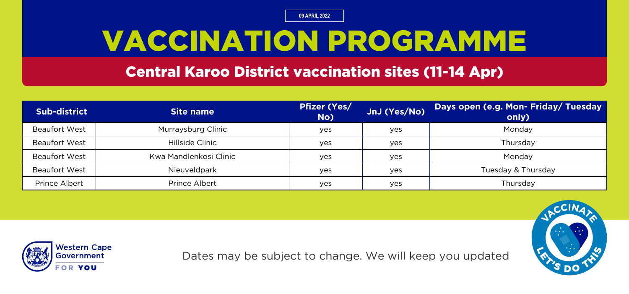### VACCINATION PROGRAMME

#### Central Karoo District vaccination sites (11-14 Apr)

| <b>Sub-district</b>  | Site name              | <b>Pfizer (Yes/</b><br>No) | JnJ (Yes/No) | Days open (e.g. Mon- Friday/ Tuesday<br>only) |
|----------------------|------------------------|----------------------------|--------------|-----------------------------------------------|
| <b>Beaufort West</b> | Murraysburg Clinic     | yes                        | yes          | Monday                                        |
| <b>Beaufort West</b> | Hillside Clinic        | yes                        | yes          | Thursday                                      |
| <b>Beaufort West</b> | Kwa Mandlenkosi Clinic | yes                        | yes          | Monday                                        |
| <b>Beaufort West</b> | Nieuveldpark           | yes                        | yes          | Tuesday & Thursday                            |
| Prince Albert        | Prince Albert          | yes                        | yes          | Thursday                                      |



Dates may be subject to change. We will keep you updated

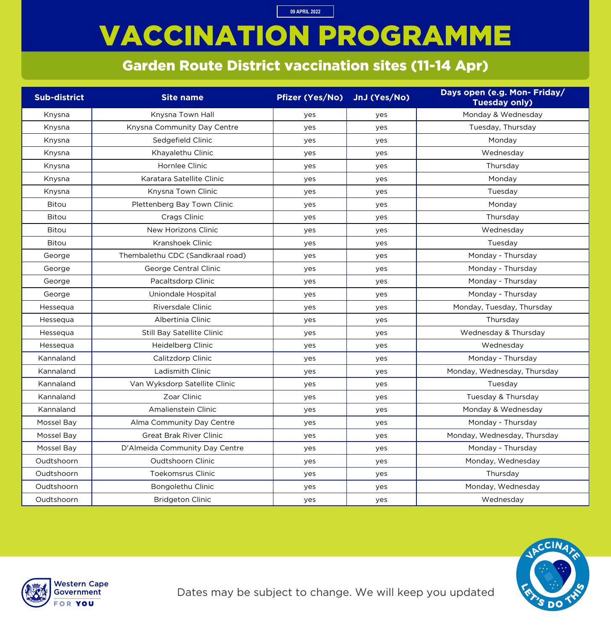# VACCINATION PROGRAMME

**09 APRIL 2022**

#### Garden Route District vaccination sites (11-14 Apr)

| <b>Sub-district</b> | <b>Site name</b>                  | <b>Pfizer (Yes/No)</b> | JnJ (Yes/No) | Days open (e.g. Mon- Friday/<br><b>Tuesday only)</b> |
|---------------------|-----------------------------------|------------------------|--------------|------------------------------------------------------|
| Knysna              | Knysna Town Hall                  | yes                    | yes          | Monday & Wednesday                                   |
| Knysna              | Knysna Community Day Centre       | yes                    | yes          | Tuesday, Thursday                                    |
| Knysna              | Sedgefield Clinic                 | yes                    | yes          | Monday                                               |
| Knysna              | Khayalethu Clinic                 | yes                    | yes          | Wednesday                                            |
| Knysna              | Hornlee Clinic                    | yes                    | yes          | Thursday                                             |
| Knysna              | Karatara Satellite Clinic         | yes                    | yes          | Monday                                               |
| Knysna              | Knysna Town Clinic                | yes                    | yes          | Tuesday                                              |
| <b>Bitou</b>        | Plettenberg Bay Town Clinic       | yes                    | yes          | Monday                                               |
| <b>Bitou</b>        | Crags Clinic                      | yes                    | yes          | Thursday                                             |
| <b>Bitou</b>        | New Horizons Clinic               | yes                    | yes          | Wednesday                                            |
| <b>Bitou</b>        | Kranshoek Clinic                  | yes                    | yes          | Tuesday                                              |
| George              | Thembalethu CDC (Sandkraal road)  | yes                    | yes          | Monday - Thursday                                    |
| George              | George Central Clinic             | yes                    | yes          | Monday - Thursday                                    |
| George              | Pacaltsdorp Clinic                | yes                    | yes          | Monday - Thursday                                    |
| George              | Uniondale Hospital                | yes                    | yes          | Monday - Thursday                                    |
| Hessequa            | Riversdale Clinic                 | yes                    | yes          | Monday, Tuesday, Thursday                            |
| Hessequa            | Albertinia Clinic                 | yes                    | yes          | Thursday                                             |
| Hessequa            | <b>Still Bay Satellite Clinic</b> | yes                    | yes          | Wednesday & Thursday                                 |
| Hessequa            | Heidelberg Clinic                 | yes                    | yes          | Wednesday                                            |
| Kannaland           | Calitzdorp Clinic                 | yes                    | yes          | Monday - Thursday                                    |
| Kannaland           | Ladismith Clinic                  | yes                    | yes          | Monday, Wednesday, Thursday                          |
| Kannaland           | Van Wyksdorp Satellite Clinic     | yes                    | yes          | Tuesday                                              |
| Kannaland           | Zoar Clinic                       | yes                    | yes          | Tuesday & Thursday                                   |
| Kannaland           | Amalienstein Clinic               | yes                    | yes          | Monday & Wednesday                                   |
| Mossel Bay          | Alma Community Day Centre         | yes                    | yes          | Monday - Thursday                                    |
| Mossel Bay          | <b>Great Brak River Clinic</b>    | yes                    | yes          | Monday, Wednesday, Thursday                          |
| Mossel Bay          | D'Almeida Community Day Centre    | yes                    | yes          | Monday - Thursday                                    |
| Oudtshoorn          | Oudtshoorn Clinic                 | yes                    | yes          | Monday, Wednesday                                    |
| Oudtshoorn          | <b>Toekomsrus Clinic</b>          | yes                    | yes          | Thursday                                             |
| Oudtshoorn          | Bongolethu Clinic                 | yes                    | yes          | Monday, Wednesday                                    |
| Oudtshoorn          | <b>Bridgeton Clinic</b>           | yes                    | yes          | Wednesday                                            |



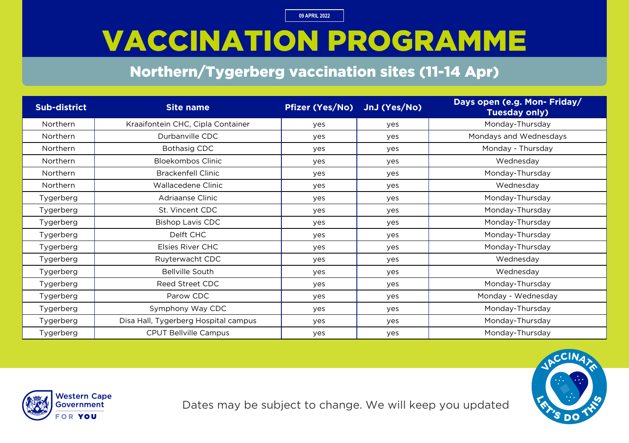### VACCINATION PROGRAMME

#### Northern/Tygerberg vaccination sites (11-14 Apr)

| <b>Sub-district</b> | <b>Site name</b>                     | <b>Pfizer (Yes/No)</b> | JnJ (Yes/No) | Days open (e.g. Mon- Friday/<br><b>Tuesday only)</b> |
|---------------------|--------------------------------------|------------------------|--------------|------------------------------------------------------|
| <b>Northern</b>     | Kraaifontein CHC, Cipla Container    | yes                    | yes          | Monday-Thursday                                      |
| <b>Northern</b>     | Durbanville CDC                      | yes                    | yes          | Mondays and Wednesdays                               |
| <b>Northern</b>     | Bothasig CDC                         | yes                    | yes          | Monday - Thursday                                    |
| <b>Northern</b>     | <b>Bloekombos Clinic</b>             | yes                    | yes          | Wednesday                                            |
| Northern            | <b>Brackenfell Clinic</b>            | yes                    | yes          | Monday-Thursday                                      |
| Northern            | Wallacedene Clinic                   | yes                    | yes          | Wednesday                                            |
| Tygerberg           | Adriaanse Clinic                     | yes                    | yes          | Monday-Thursday                                      |
| Tygerberg           | St. Vincent CDC                      | yes                    | yes          | Monday-Thursday                                      |
| Tygerberg           | <b>Bishop Lavis CDC</b>              | yes                    | yes          | Monday-Thursday                                      |
| Tygerberg           | Delft CHC                            | yes                    | yes          | Monday-Thursday                                      |
| Tygerberg           | Elsies River CHC                     | yes                    | yes          | Monday-Thursday                                      |
| Tygerberg           | Ruyterwacht CDC                      | yes                    | yes          | Wednesday                                            |
| Tygerberg           | <b>Bellville South</b>               | yes                    | yes          | Wednesday                                            |
| Tygerberg           | Reed Street CDC                      | yes                    | yes          | Monday-Thursday                                      |
| Tygerberg           | Parow CDC                            | yes                    | yes          | Monday - Wednesday                                   |
| Tygerberg           | Symphony Way CDC                     | yes                    | yes          | Monday-Thursday                                      |
| Tygerberg           | Disa Hall, Tygerberg Hospital campus | yes                    | yes          | Monday-Thursday                                      |
| Tygerberg           | <b>CPUT Bellville Campus</b>         | yes                    | yes          | Monday-Thursday                                      |



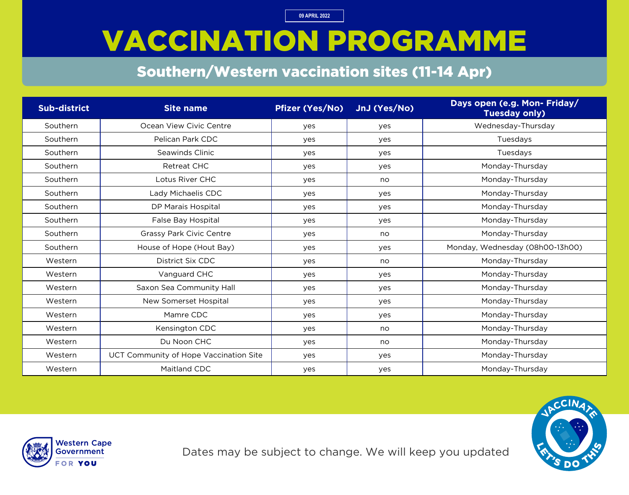### VACCINATION PROGRAMME

#### Southern/Western vaccination sites (11-14 Apr)

| <b>Sub-district</b> | <b>Site name</b>                       | <b>Pfizer (Yes/No)</b> | JnJ (Yes/No) | Days open (e.g. Mon- Friday/<br><b>Tuesday only)</b> |
|---------------------|----------------------------------------|------------------------|--------------|------------------------------------------------------|
| Southern            | Ocean View Civic Centre                | yes                    | yes          | Wednesday-Thursday                                   |
| Southern            | Pelican Park CDC                       | yes                    | yes          | Tuesdays                                             |
| Southern            | Seawinds Clinic                        | yes                    | yes          | Tuesdays                                             |
| Southern            | <b>Retreat CHC</b>                     | yes                    | yes          | Monday-Thursday                                      |
| Southern            | Lotus River CHC                        | yes                    | no           | Monday-Thursday                                      |
| Southern            | Lady Michaelis CDC                     | yes                    | yes          | Monday-Thursday                                      |
| Southern            | DP Marais Hospital                     | yes                    | yes          | Monday-Thursday                                      |
| Southern            | False Bay Hospital                     | yes                    | yes          | Monday-Thursday                                      |
| Southern            | <b>Grassy Park Civic Centre</b>        | yes                    | no           | Monday-Thursday                                      |
| Southern            | House of Hope (Hout Bay)               | yes                    | yes          | Monday, Wednesday (08h00-13h00)                      |
| Western             | District Six CDC                       | yes                    | no           | Monday-Thursday                                      |
| Western             | Vanguard CHC                           | yes                    | yes          | Monday-Thursday                                      |
| Western             | Saxon Sea Community Hall               | yes                    | yes          | Monday-Thursday                                      |
| Western             | New Somerset Hospital                  | yes                    | yes          | Monday-Thursday                                      |
| Western             | Mamre CDC                              | yes                    | yes          | Monday-Thursday                                      |
| Western             | Kensington CDC                         | yes                    | no           | Monday-Thursday                                      |
| Western             | Du Noon CHC                            | yes                    | no           | Monday-Thursday                                      |
| Western             | UCT Community of Hope Vaccination Site | yes                    | yes          | Monday-Thursday                                      |
| Western             | Maitland CDC                           | yes                    | yes          | Monday-Thursday                                      |



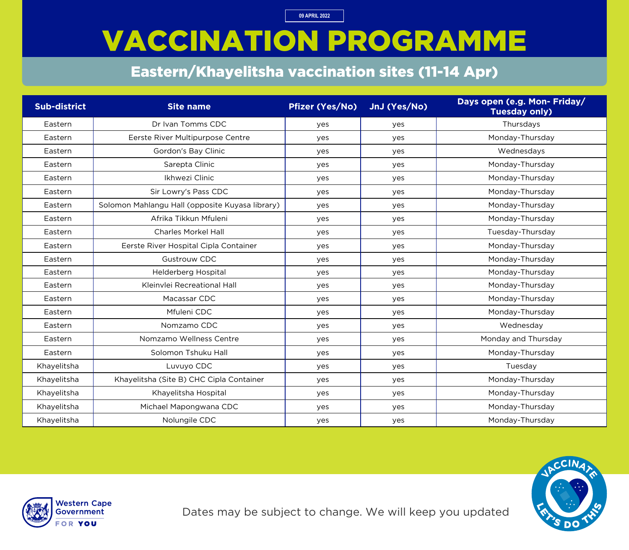# VACCINATION PROGRAMME

#### Eastern/Khayelitsha vaccination sites (11-14 Apr)

| <b>Sub-district</b> | <b>Site name</b>                                | <b>Pfizer (Yes/No)</b> | JnJ (Yes/No) | Days open (e.g. Mon- Friday/<br><b>Tuesday only)</b> |
|---------------------|-------------------------------------------------|------------------------|--------------|------------------------------------------------------|
| Eastern             | Dr Ivan Tomms CDC                               | yes                    | yes          | Thursdays                                            |
| Eastern             | Eerste River Multipurpose Centre                | yes                    | yes          | Monday-Thursday                                      |
| Eastern             | Gordon's Bay Clinic                             | yes                    | yes          | Wednesdays                                           |
| Eastern             | Sarepta Clinic                                  | yes                    | yes          | Monday-Thursday                                      |
| Eastern             | Ikhwezi Clinic                                  | yes                    | yes          | Monday-Thursday                                      |
| Eastern             | Sir Lowry's Pass CDC                            | yes                    | yes          | Monday-Thursday                                      |
| Eastern             | Solomon Mahlangu Hall (opposite Kuyasa library) | yes                    | yes          | Monday-Thursday                                      |
| Eastern             | Afrika Tikkun Mfuleni                           | yes                    | yes          | Monday-Thursday                                      |
| Eastern             | <b>Charles Morkel Hall</b>                      | yes                    | yes          | Tuesday-Thursday                                     |
| Eastern             | Eerste River Hospital Cipla Container           | yes                    | yes          | Monday-Thursday                                      |
| Eastern             | <b>Gustrouw CDC</b>                             | yes                    | yes          | Monday-Thursday                                      |
| Eastern             | Helderberg Hospital                             | yes                    | yes          | Monday-Thursday                                      |
| Eastern             | Kleinvlei Recreational Hall                     | yes                    | yes          | Monday-Thursday                                      |
| Eastern             | Macassar CDC                                    | yes                    | yes          | Monday-Thursday                                      |
| Eastern             | Mfuleni CDC                                     | yes                    | yes          | Monday-Thursday                                      |
| Eastern             | Nomzamo CDC                                     | yes                    | yes          | Wednesday                                            |
| Eastern             | Nomzamo Wellness Centre                         | yes                    | yes          | Monday and Thursday                                  |
| Eastern             | Solomon Tshuku Hall                             | yes                    | yes          | Monday-Thursday                                      |
| Khayelitsha         | Luvuyo CDC                                      | yes                    | yes          | Tuesday                                              |
| Khayelitsha         | Khayelitsha (Site B) CHC Cipla Container        | yes                    | yes          | Monday-Thursday                                      |
| Khayelitsha         | Khayelitsha Hospital                            | yes                    | yes          | Monday-Thursday                                      |
| Khayelitsha         | Michael Mapongwana CDC                          | yes                    | yes          | Monday-Thursday                                      |
| Khayelitsha         | Nolungile CDC                                   | yes                    | yes          | Monday-Thursday                                      |



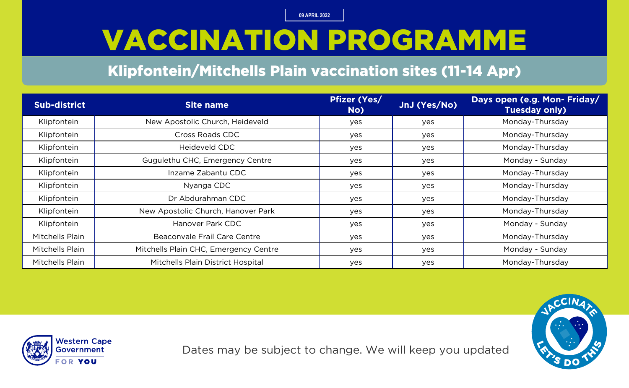# VACCINATION PROGRAMME

#### Klipfontein/Mitchells Plain vaccination sites (11-14 Apr)

| <b>Sub-district</b> | <b>Site name</b>                      | <b>Pfizer (Yes/</b><br>No) | JnJ (Yes/No) | Days open (e.g. Mon- Friday/<br><b>Tuesday only)</b> |
|---------------------|---------------------------------------|----------------------------|--------------|------------------------------------------------------|
| Klipfontein         | New Apostolic Church, Heideveld       | yes                        | yes          | Monday-Thursday                                      |
| Klipfontein         | Cross Roads CDC                       | yes                        | yes          | Monday-Thursday                                      |
| Klipfontein         | Heideveld CDC                         | yes                        | yes          | Monday-Thursday                                      |
| Klipfontein         | Gugulethu CHC, Emergency Centre       | yes                        | yes          | Monday - Sunday                                      |
| Klipfontein         | Inzame Zabantu CDC                    | yes                        | yes          | Monday-Thursday                                      |
| Klipfontein         | Nyanga CDC                            | yes                        | yes          | Monday-Thursday                                      |
| Klipfontein         | Dr Abdurahman CDC                     | yes                        | yes          | Monday-Thursday                                      |
| Klipfontein         | New Apostolic Church, Hanover Park    | yes                        | yes          | Monday-Thursday                                      |
| Klipfontein         | Hanover Park CDC                      | yes                        | yes          | Monday - Sunday                                      |
| Mitchells Plain     | Beaconvale Frail Care Centre          | yes                        | yes          | Monday-Thursday                                      |
| Mitchells Plain     | Mitchells Plain CHC, Emergency Centre | yes                        | yes          | Monday - Sunday                                      |
| Mitchells Plain     | Mitchells Plain District Hospital     | yes                        | yes          | Monday-Thursday                                      |





Dates may be subject to change. We will keep you updated